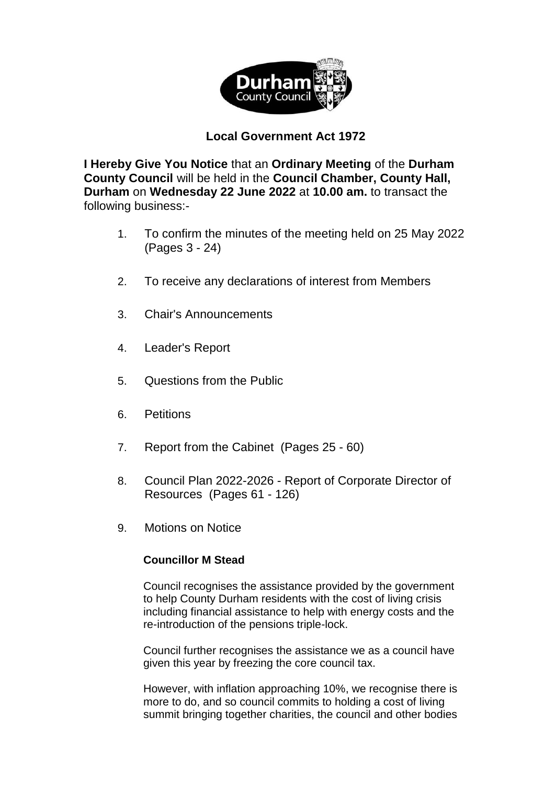

## **Local Government Act 1972**

**I Hereby Give You Notice** that an **Ordinary Meeting** of the **Durham County Council** will be held in the **Council Chamber, County Hall, Durham** on **Wednesday 22 June 2022** at **10.00 am.** to transact the following business:-

- 1. To confirm the minutes of the meeting held on 25 May 2022 (Pages 3 - 24)
- 2. To receive any declarations of interest from Members
- 3. Chair's Announcements
- 4. Leader's Report
- 5. Questions from the Public
- 6. Petitions
- 7. Report from the Cabinet(Pages 25 60)
- 8. Council Plan 2022-2026 Report of Corporate Director of Resources(Pages 61 - 126)
- 9. Motions on Notice

## **Councillor M Stead**

Council recognises the assistance provided by the government to help County Durham residents with the cost of living crisis including financial assistance to help with energy costs and the re-introduction of the pensions triple-lock.

Council further recognises the assistance we as a council have given this year by freezing the core council tax.

However, with inflation approaching 10%, we recognise there is more to do, and so council commits to holding a cost of living summit bringing together charities, the council and other bodies